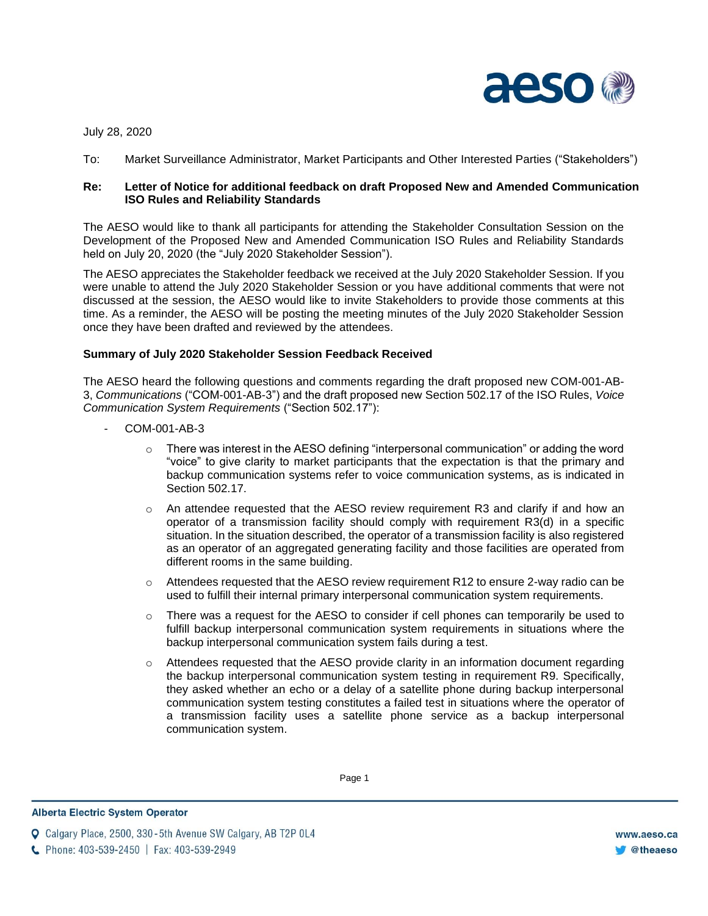

July 28, 2020

To: Market Surveillance Administrator, Market Participants and Other Interested Parties ("Stakeholders")

## **Re: Letter of Notice for additional feedback on draft Proposed New and Amended Communication ISO Rules and Reliability Standards**

The AESO would like to thank all participants for attending the Stakeholder Consultation Session on the Development of the Proposed New and Amended Communication ISO Rules and Reliability Standards held on July 20, 2020 (the "July 2020 Stakeholder Session").

The AESO appreciates the Stakeholder feedback we received at the July 2020 Stakeholder Session. If you were unable to attend the July 2020 Stakeholder Session or you have additional comments that were not discussed at the session, the AESO would like to invite Stakeholders to provide those comments at this time. As a reminder, the AESO will be posting the meeting minutes of the July 2020 Stakeholder Session once they have been drafted and reviewed by the attendees.

## **Summary of July 2020 Stakeholder Session Feedback Received**

The AESO heard the following questions and comments regarding the draft proposed new COM-001-AB-3, *Communications* ("COM-001-AB-3") and the draft proposed new Section 502.17 of the ISO Rules, *Voice Communication System Requirements* ("Section 502.17"):

- COM-001-AB-3
	- $\circ$  There was interest in the AESO defining "interpersonal communication" or adding the word "voice" to give clarity to market participants that the expectation is that the primary and backup communication systems refer to voice communication systems, as is indicated in Section 502.17.
	- o An attendee requested that the AESO review requirement R3 and clarify if and how an operator of a transmission facility should comply with requirement R3(d) in a specific situation. In the situation described, the operator of a transmission facility is also registered as an operator of an aggregated generating facility and those facilities are operated from different rooms in the same building.
	- $\circ$  Attendees requested that the AESO review requirement R12 to ensure 2-way radio can be used to fulfill their internal primary interpersonal communication system requirements.
	- $\circ$  There was a request for the AESO to consider if cell phones can temporarily be used to fulfill backup interpersonal communication system requirements in situations where the backup interpersonal communication system fails during a test.
	- $\circ$  Attendees requested that the AESO provide clarity in an information document regarding the backup interpersonal communication system testing in requirement R9. Specifically, they asked whether an echo or a delay of a satellite phone during backup interpersonal communication system testing constitutes a failed test in situations where the operator of a transmission facility uses a satellite phone service as a backup interpersonal communication system.

Enter Footer Footer Footer Footer Footer Footer Footer Footer Footer Footer Footer Footer Footer Footer Footer<br>Activities in the activities of the activities in the activities of the activities in the activities of the act

**Alberta Electric System Operator** 

**Q** Calgary Place, 2500, 330-5th Avenue SW Calgary, AB T2P 0L4

C Phone: 403-539-2450 | Fax: 403-539-2949